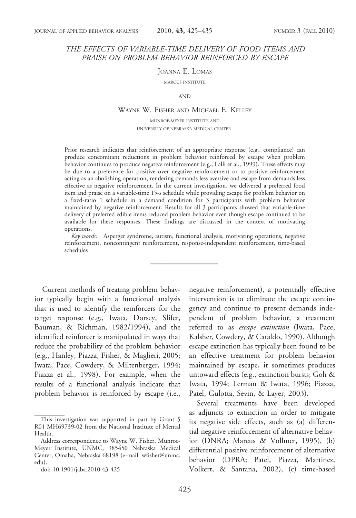# THE EFFECTS OF VARIABLE-TIME DELIVERY OF FOOD ITEMS AND PRAISE ON PROBLEM BEHAVIOR REINFORCED BY ESCAPE

JOANNA E. LOMAS

MARCUS INSTITUTE

AND

## WAYNE W. FISHER AND MICHAEL E. KELLEY

MUNROE-MEYER INSTITUTE AND UNIVERSITY OF NEBRASKA MEDICAL CENTER

Prior research indicates that reinforcement of an appropriate response (e.g., compliance) can produce concomitant reductions in problem behavior reinforced by escape when problem behavior continues to produce negative reinforcement (e.g., Lalli et al., 1999). These effects may be due to a preference for positive over negative reinforcement or to positive reinforcement acting as an abolishing operation, rendering demands less aversive and escape from demands less effective as negative reinforcement. In the current investigation, we delivered a preferred food item and praise on a variable-time 15-s schedule while providing escape for problem behavior on a fixed-ratio 1 schedule in a demand condition for 3 participants with problem behavior maintained by negative reinforcement. Results for all 3 participants showed that variable-time delivery of preferred edible items reduced problem behavior even though escape continued to be available for these responses. These findings are discussed in the context of motivating operations.

Key words: Asperger syndrome, autism, functional analysis, motivating operations, negative reinforcement, noncontingent reinforcement, response-independent reinforcement, time-based schedules

Current methods of treating problem behavior typically begin with a functional analysis that is used to identify the reinforcers for the target response (e.g., Iwata, Dorsey, Slifer, Bauman, & Richman, 1982/1994), and the identified reinforcer is manipulated in ways that reduce the probability of the problem behavior (e.g., Hanley, Piazza, Fisher, & Maglieri, 2005; Iwata, Pace, Cowdery, & Miltenberger, 1994; Piazza et al., 1998). For example, when the results of a functional analysis indicate that problem behavior is reinforced by escape (i.e.,

negative reinforcement), a potentially effective intervention is to eliminate the escape contingency and continue to present demands independent of problem behavior, a treatment referred to as escape extinction (Iwata, Pace, Kalsher, Cowdery, & Cataldo, 1990). Although escape extinction has typically been found to be an effective treatment for problem behavior maintained by escape, it sometimes produces untoward effects (e.g., extinction bursts; Goh & Iwata, 1994; Lerman & Iwata, 1996; Piazza, Patel, Gulotta, Sevin, & Layer, 2003).

Several treatments have been developed as adjuncts to extinction in order to mitigate its negative side effects, such as (a) differential negative reinforcement of alternative behavior (DNRA; Marcus & Vollmer, 1995), (b) differential positive reinforcement of alternative behavior (DPRA; Patel, Piazza, Martinez, Volkert, & Santana, 2002), (c) time-based

This investigation was supported in part by Grant 5 R01 MH69739-02 from the National Institute of Mental Health.

Address correspondence to Wayne W. Fisher, Munroe-Meyer Institute, UNMC, 985450 Nebraska Medical Center, Omaha, Nebraska 68198 (e-mail: wfisher@unmc. edu).

doi: 10.1901/jaba.2010.43-425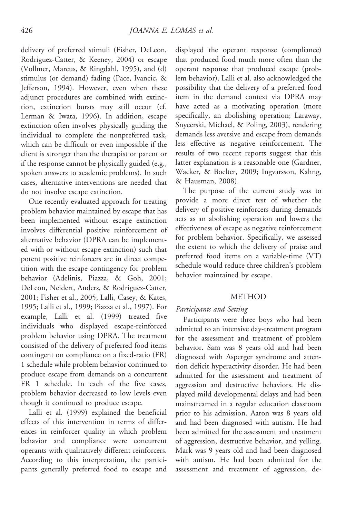delivery of preferred stimuli (Fisher, DeLeon, Rodriguez-Catter, & Keeney, 2004) or escape (Vollmer, Marcus, & Ringdahl, 1995), and (d) stimulus (or demand) fading (Pace, Ivancic, & Jefferson, 1994). However, even when these adjunct procedures are combined with extinction, extinction bursts may still occur (cf. Lerman & Iwata, 1996). In addition, escape extinction often involves physically guiding the individual to complete the nonpreferred task, which can be difficult or even impossible if the client is stronger than the therapist or parent or if the response cannot be physically guided (e.g., spoken answers to academic problems). In such cases, alternative interventions are needed that do not involve escape extinction.

One recently evaluated approach for treating problem behavior maintained by escape that has been implemented without escape extinction involves differential positive reinforcement of alternative behavior (DPRA can be implemented with or without escape extinction) such that potent positive reinforcers are in direct competition with the escape contingency for problem behavior (Adelinis, Piazza, & Goh, 2001; DeLeon, Neidert, Anders, & Rodriguez-Catter, 2001; Fisher et al., 2005; Lalli, Casey, & Kates, 1995; Lalli et al., 1999; Piazza et al., 1997). For example, Lalli et al. (1999) treated five individuals who displayed escape-reinforced problem behavior using DPRA. The treatment consisted of the delivery of preferred food items contingent on compliance on a fixed-ratio (FR) 1 schedule while problem behavior continued to produce escape from demands on a concurrent FR 1 schedule. In each of the five cases, problem behavior decreased to low levels even though it continued to produce escape.

Lalli et al. (1999) explained the beneficial effects of this intervention in terms of differences in reinforcer quality in which problem behavior and compliance were concurrent operants with qualitatively different reinforcers. According to this interpretation, the participants generally preferred food to escape and displayed the operant response (compliance) that produced food much more often than the operant response that produced escape (problem behavior). Lalli et al. also acknowledged the possibility that the delivery of a preferred food item in the demand context via DPRA may have acted as a motivating operation (more specifically, an abolishing operation; Laraway, Snycerski, Michael, & Poling, 2003), rendering demands less aversive and escape from demands less effective as negative reinforcement. The results of two recent reports suggest that this latter explanation is a reasonable one (Gardner, Wacker, & Boelter, 2009; Ingvarsson, Kahng, & Hausman, 2008).

The purpose of the current study was to provide a more direct test of whether the delivery of positive reinforcers during demands acts as an abolishing operation and lowers the effectiveness of escape as negative reinforcement for problem behavior. Specifically, we assessed the extent to which the delivery of praise and preferred food items on a variable-time (VT) schedule would reduce three children's problem behavior maintained by escape.

## METHOD

# Participants and Setting

Participants were three boys who had been admitted to an intensive day-treatment program for the assessment and treatment of problem behavior. Sam was 8 years old and had been diagnosed with Asperger syndrome and attention deficit hyperactivity disorder. He had been admitted for the assessment and treatment of aggression and destructive behaviors. He displayed mild developmental delays and had been mainstreamed in a regular education classroom prior to his admission. Aaron was 8 years old and had been diagnosed with autism. He had been admitted for the assessment and treatment of aggression, destructive behavior, and yelling. Mark was 9 years old and had been diagnosed with autism. He had been admitted for the assessment and treatment of aggression, de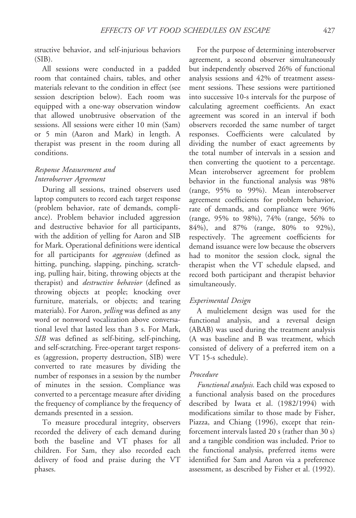structive behavior, and self-injurious behaviors  $(SIB)$ .

All sessions were conducted in a padded room that contained chairs, tables, and other materials relevant to the condition in effect (see session description below). Each room was equipped with a one-way observation window that allowed unobtrusive observation of the sessions. All sessions were either 10 min (Sam) or 5 min (Aaron and Mark) in length. A therapist was present in the room during all conditions.

# Response Measurement and Interobserver Agreement

During all sessions, trained observers used laptop computers to record each target response (problem behavior, rate of demands, compliance). Problem behavior included aggression and destructive behavior for all participants, with the addition of yelling for Aaron and SIB for Mark. Operational definitions were identical for all participants for *aggression* (defined as hitting, punching, slapping, pinching, scratching, pulling hair, biting, throwing objects at the therapist) and *destructive behavior* (defined as throwing objects at people; knocking over furniture, materials, or objects; and tearing materials). For Aaron, *yelling* was defined as any word or nonword vocalization above conversational level that lasted less than 3 s. For Mark, SIB was defined as self-biting, self-pinching, and self-scratching. Free-operant target responses (aggression, property destruction, SIB) were converted to rate measures by dividing the number of responses in a session by the number of minutes in the session. Compliance was converted to a percentage measure after dividing the frequency of compliance by the frequency of demands presented in a session.

To measure procedural integrity, observers recorded the delivery of each demand during both the baseline and VT phases for all children. For Sam, they also recorded each delivery of food and praise during the VT phases.

For the purpose of determining interobserver agreement, a second observer simultaneously but independently observed 26% of functional analysis sessions and 42% of treatment assessment sessions. These sessions were partitioned into successive 10-s intervals for the purpose of calculating agreement coefficients. An exact agreement was scored in an interval if both observers recorded the same number of target responses. Coefficients were calculated by dividing the number of exact agreements by the total number of intervals in a session and then converting the quotient to a percentage. Mean interobserver agreement for problem behavior in the functional analysis was 98% (range, 95% to 99%). Mean interobserver agreement coefficients for problem behavior, rate of demands, and compliance were 96% (range, 95% to 98%), 74% (range, 56% to 84%), and 87% (range, 80% to 92%), respectively. The agreement coefficients for demand issuance were low because the observers had to monitor the session clock, signal the therapist when the VT schedule elapsed, and record both participant and therapist behavior simultaneously.

## Experimental Design

A multielement design was used for the functional analysis, and a reversal design (ABAB) was used during the treatment analysis (A was baseline and B was treatment, which consisted of delivery of a preferred item on a VT 15-s schedule).

#### Procedure

Functional analysis. Each child was exposed to a functional analysis based on the procedures described by Iwata et al. (1982/1994) with modifications similar to those made by Fisher, Piazza, and Chiang (1996), except that reinforcement intervals lasted 20 s (rather than 30 s) and a tangible condition was included. Prior to the functional analysis, preferred items were identified for Sam and Aaron via a preference assessment, as described by Fisher et al. (1992).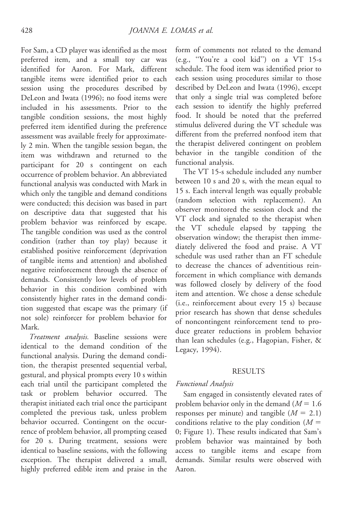For Sam, a CD player was identified as the most preferred item, and a small toy car was identified for Aaron. For Mark, different tangible items were identified prior to each session using the procedures described by DeLeon and Iwata (1996); no food items were included in his assessments. Prior to the tangible condition sessions, the most highly preferred item identified during the preference assessment was available freely for approximately 2 min. When the tangible session began, the item was withdrawn and returned to the participant for 20 s contingent on each occurrence of problem behavior. An abbreviated functional analysis was conducted with Mark in which only the tangible and demand conditions were conducted; this decision was based in part on descriptive data that suggested that his problem behavior was reinforced by escape. The tangible condition was used as the control condition (rather than toy play) because it established positive reinforcement (deprivation of tangible items and attention) and abolished negative reinforcement through the absence of demands. Consistently low levels of problem behavior in this condition combined with consistently higher rates in the demand condition suggested that escape was the primary (if not sole) reinforcer for problem behavior for Mark.

Treatment analysis. Baseline sessions were identical to the demand condition of the functional analysis. During the demand condition, the therapist presented sequential verbal, gestural, and physical prompts every 10 s within each trial until the participant completed the task or problem behavior occurred. The therapist initiated each trial once the participant completed the previous task, unless problem behavior occurred. Contingent on the occurrence of problem behavior, all prompting ceased for 20 s. During treatment, sessions were identical to baseline sessions, with the following exception. The therapist delivered a small, highly preferred edible item and praise in the form of comments not related to the demand (e.g., ''You're a cool kid'') on a VT 15-s schedule. The food item was identified prior to each session using procedures similar to those described by DeLeon and Iwata (1996), except that only a single trial was completed before each session to identify the highly preferred food. It should be noted that the preferred stimulus delivered during the VT schedule was different from the preferred nonfood item that the therapist delivered contingent on problem behavior in the tangible condition of the functional analysis.

The VT 15-s schedule included any number between 10 s and 20 s, with the mean equal to 15 s. Each interval length was equally probable (random selection with replacement). An observer monitored the session clock and the VT clock and signaled to the therapist when the VT schedule elapsed by tapping the observation window; the therapist then immediately delivered the food and praise. A VT schedule was used rather than an FT schedule to decrease the chances of adventitious reinforcement in which compliance with demands was followed closely by delivery of the food item and attention. We chose a dense schedule (i.e., reinforcement about every 15 s) because prior research has shown that dense schedules of noncontingent reinforcement tend to produce greater reductions in problem behavior than lean schedules (e.g., Hagopian, Fisher, & Legacy, 1994).

#### RESULTS

## Functional Analysis

Sam engaged in consistently elevated rates of problem behavior only in the demand  $(M = 1.6)$ responses per minute) and tangible  $(M = 2.1)$ conditions relative to the play condition  $(M =$ 0; Figure 1). These results indicated that Sam's problem behavior was maintained by both access to tangible items and escape from demands. Similar results were observed with Aaron.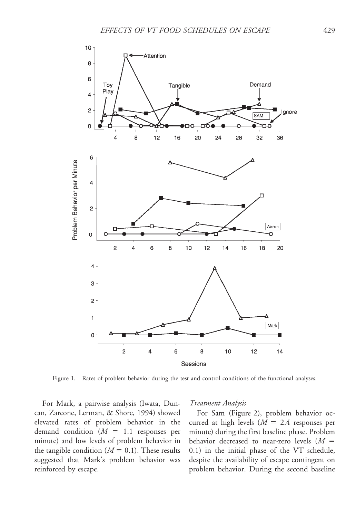

Figure 1. Rates of problem behavior during the test and control conditions of the functional analyses.

For Mark, a pairwise analysis (Iwata, Duncan, Zarcone, Lerman, & Shore, 1994) showed elevated rates of problem behavior in the demand condition  $(M = 1.1$  responses per minute) and low levels of problem behavior in the tangible condition ( $M = 0.1$ ). These results suggested that Mark's problem behavior was reinforced by escape.

#### Treatment Analysis

For Sam (Figure 2), problem behavior occurred at high levels  $(M = 2.4$  responses per minute) during the first baseline phase. Problem behavior decreased to near-zero levels  $(M =$ 0.1) in the initial phase of the VT schedule, despite the availability of escape contingent on problem behavior. During the second baseline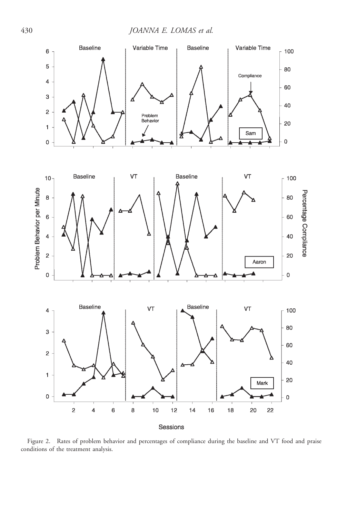430 JOANNA E. LOMAS et al.



Figure 2. Rates of problem behavior and percentages of compliance during the baseline and VT food and praise conditions of the treatment analysis.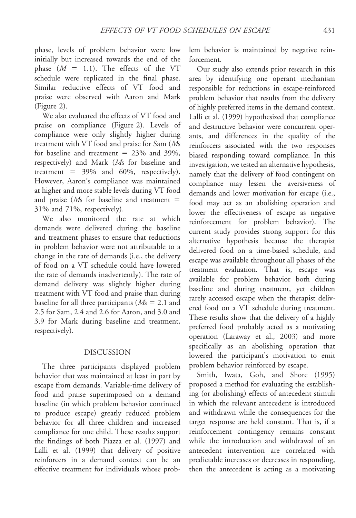phase, levels of problem behavior were low initially but increased towards the end of the phase  $(M = 1.1)$ . The effects of the VT schedule were replicated in the final phase. Similar reductive effects of VT food and praise were observed with Aaron and Mark (Figure 2).

We also evaluated the effects of VT food and praise on compliance (Figure 2). Levels of compliance were only slightly higher during treatment with VT food and praise for Sam (Ms for baseline and treatment  $= 23\%$  and 39%, respectively) and Mark (Ms for baseline and treatment =  $39\%$  and  $60\%$ , respectively). However, Aaron's compliance was maintained at higher and more stable levels during VT food and praise ( $Ms$  for baseline and treatment  $=$ 31% and 71%, respectively).

We also monitored the rate at which demands were delivered during the baseline and treatment phases to ensure that reductions in problem behavior were not attributable to a change in the rate of demands (i.e., the delivery of food on a VT schedule could have lowered the rate of demands inadvertently). The rate of demand delivery was slightly higher during treatment with VT food and praise than during baseline for all three participants ( $Ms = 2.1$  and 2.5 for Sam, 2.4 and 2.6 for Aaron, and 3.0 and 3.9 for Mark during baseline and treatment, respectively).

## DISCUSSION

The three participants displayed problem behavior that was maintained at least in part by escape from demands. Variable-time delivery of food and praise superimposed on a demand baseline (in which problem behavior continued to produce escape) greatly reduced problem behavior for all three children and increased compliance for one child. These results support the findings of both Piazza et al. (1997) and Lalli et al. (1999) that delivery of positive reinforcers in a demand context can be an effective treatment for individuals whose problem behavior is maintained by negative reinforcement.

Our study also extends prior research in this area by identifying one operant mechanism responsible for reductions in escape-reinforced problem behavior that results from the delivery of highly preferred items in the demand context. Lalli et al. (1999) hypothesized that compliance and destructive behavior were concurrent operants, and differences in the quality of the reinforcers associated with the two responses biased responding toward compliance. In this investigation, we tested an alternative hypothesis, namely that the delivery of food contingent on compliance may lessen the aversiveness of demands and lower motivation for escape (i.e., food may act as an abolishing operation and lower the effectiveness of escape as negative reinforcement for problem behavior). The current study provides strong support for this alternative hypothesis because the therapist delivered food on a time-based schedule, and escape was available throughout all phases of the treatment evaluation. That is, escape was available for problem behavior both during baseline and during treatment, yet children rarely accessed escape when the therapist delivered food on a VT schedule during treatment. These results show that the delivery of a highly preferred food probably acted as a motivating operation (Laraway et al., 2003) and more specifically as an abolishing operation that lowered the participant's motivation to emit problem behavior reinforced by escape.

Smith, Iwata, Goh, and Shore (1995) proposed a method for evaluating the establishing (or abolishing) effects of antecedent stimuli in which the relevant antecedent is introduced and withdrawn while the consequences for the target response are held constant. That is, if a reinforcement contingency remains constant while the introduction and withdrawal of an antecedent intervention are correlated with predictable increases or decreases in responding, then the antecedent is acting as a motivating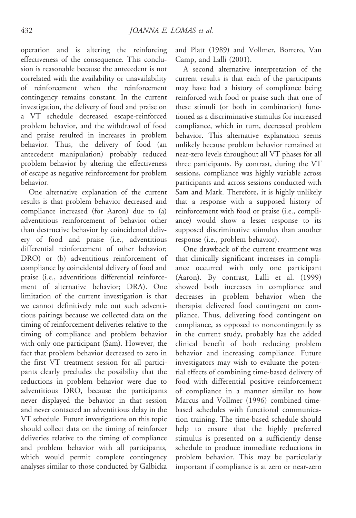operation and is altering the reinforcing effectiveness of the consequence. This conclusion is reasonable because the antecedent is not correlated with the availability or unavailability of reinforcement when the reinforcement contingency remains constant. In the current investigation, the delivery of food and praise on a VT schedule decreased escape-reinforced problem behavior, and the withdrawal of food and praise resulted in increases in problem behavior. Thus, the delivery of food (an antecedent manipulation) probably reduced problem behavior by altering the effectiveness of escape as negative reinforcement for problem behavior.

One alternative explanation of the current results is that problem behavior decreased and compliance increased (for Aaron) due to (a) adventitious reinforcement of behavior other than destructive behavior by coincidental delivery of food and praise (i.e., adventitious differential reinforcement of other behavior; DRO) or (b) adventitious reinforcement of compliance by coincidental delivery of food and praise (i.e., adventitious differential reinforcement of alternative behavior; DRA). One limitation of the current investigation is that we cannot definitively rule out such adventitious pairings because we collected data on the timing of reinforcement deliveries relative to the timing of compliance and problem behavior with only one participant (Sam). However, the fact that problem behavior decreased to zero in the first VT treatment session for all participants clearly precludes the possibility that the reductions in problem behavior were due to adventitious DRO, because the participants never displayed the behavior in that session and never contacted an adventitious delay in the VT schedule. Future investigations on this topic should collect data on the timing of reinforcer deliveries relative to the timing of compliance and problem behavior with all participants, which would permit complete contingency analyses similar to those conducted by Galbicka

and Platt (1989) and Vollmer, Borrero, Van Camp, and Lalli (2001).

A second alternative interpretation of the current results is that each of the participants may have had a history of compliance being reinforced with food or praise such that one of these stimuli (or both in combination) functioned as a discriminative stimulus for increased compliance, which in turn, decreased problem behavior. This alternative explanation seems unlikely because problem behavior remained at near-zero levels throughout all VT phases for all three participants. By contrast, during the VT sessions, compliance was highly variable across participants and across sessions conducted with Sam and Mark. Therefore, it is highly unlikely that a response with a supposed history of reinforcement with food or praise (i.e., compliance) would show a lesser response to its supposed discriminative stimulus than another response (i.e., problem behavior).

One drawback of the current treatment was that clinically significant increases in compliance occurred with only one participant (Aaron). By contrast, Lalli et al. (1999) showed both increases in compliance and decreases in problem behavior when the therapist delivered food contingent on compliance. Thus, delivering food contingent on compliance, as opposed to noncontingently as in the current study, probably has the added clinical benefit of both reducing problem behavior and increasing compliance. Future investigators may wish to evaluate the potential effects of combining time-based delivery of food with differential positive reinforcement of compliance in a manner similar to how Marcus and Vollmer (1996) combined timebased schedules with functional communication training. The time-based schedule should help to ensure that the highly preferred stimulus is presented on a sufficiently dense schedule to produce immediate reductions in problem behavior. This may be particularly important if compliance is at zero or near-zero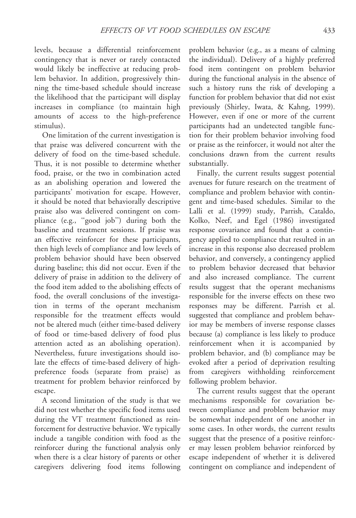levels, because a differential reinforcement contingency that is never or rarely contacted would likely be ineffective at reducing problem behavior. In addition, progressively thinning the time-based schedule should increase the likelihood that the participant will display increases in compliance (to maintain high amounts of access to the high-preference stimulus).

One limitation of the current investigation is that praise was delivered concurrent with the delivery of food on the time-based schedule. Thus, it is not possible to determine whether food, praise, or the two in combination acted as an abolishing operation and lowered the participants' motivation for escape. However, it should be noted that behaviorally descriptive praise also was delivered contingent on compliance (e.g., ''good job'') during both the baseline and treatment sessions. If praise was an effective reinforcer for these participants, then high levels of compliance and low levels of problem behavior should have been observed during baseline; this did not occur. Even if the delivery of praise in addition to the delivery of the food item added to the abolishing effects of food, the overall conclusions of the investigation in terms of the operant mechanism responsible for the treatment effects would not be altered much (either time-based delivery of food or time-based delivery of food plus attention acted as an abolishing operation). Nevertheless, future investigations should isolate the effects of time-based delivery of highpreference foods (separate from praise) as treatment for problem behavior reinforced by escape.

A second limitation of the study is that we did not test whether the specific food items used during the VT treatment functioned as reinforcement for destructive behavior. We typically include a tangible condition with food as the reinforcer during the functional analysis only when there is a clear history of parents or other caregivers delivering food items following

problem behavior (e.g., as a means of calming the individual). Delivery of a highly preferred food item contingent on problem behavior during the functional analysis in the absence of such a history runs the risk of developing a function for problem behavior that did not exist previously (Shirley, Iwata, & Kahng, 1999). However, even if one or more of the current participants had an undetected tangible function for their problem behavior involving food or praise as the reinforcer, it would not alter the conclusions drawn from the current results substantially.

Finally, the current results suggest potential avenues for future research on the treatment of compliance and problem behavior with contingent and time-based schedules. Similar to the Lalli et al. (1999) study, Parrish, Cataldo, Kolko, Neef, and Egel (1986) investigated response covariance and found that a contingency applied to compliance that resulted in an increase in this response also decreased problem behavior, and conversely, a contingency applied to problem behavior decreased that behavior and also increased compliance. The current results suggest that the operant mechanisms responsible for the inverse effects on these two responses may be different. Parrish et al. suggested that compliance and problem behavior may be members of inverse response classes because (a) compliance is less likely to produce reinforcement when it is accompanied by problem behavior, and (b) compliance may be evoked after a period of deprivation resulting from caregivers withholding reinforcement following problem behavior.

The current results suggest that the operant mechanisms responsible for covariation between compliance and problem behavior may be somewhat independent of one another in some cases. In other words, the current results suggest that the presence of a positive reinforcer may lessen problem behavior reinforced by escape independent of whether it is delivered contingent on compliance and independent of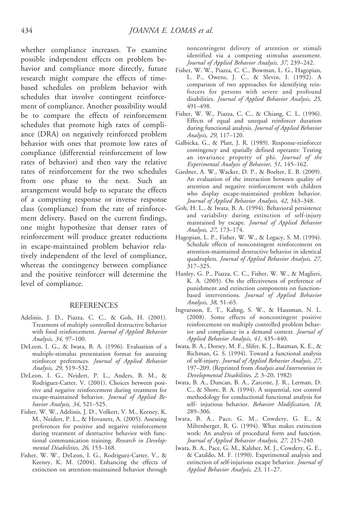whether compliance increases. To examine possible independent effects on problem behavior and compliance more directly, future research might compare the effects of timebased schedules on problem behavior with schedules that involve contingent reinforcement of compliance. Another possibility would be to compare the effects of reinforcement schedules that promote high rates of compliance (DRA) on negatively reinforced problem behavior with ones that promote low rates of compliance (differential reinforcement of low rates of behavior) and then vary the relative rates of reinforcement for the two schedules from one phase to the next. Such an arrangement would help to separate the effects of a competing response or inverse response class (compliance) from the rate of reinforcement delivery. Based on the current findings, one might hypothesize that denser rates of reinforcement will produce greater reductions in escape-maintained problem behavior relatively independent of the level of compliance, whereas the contingency between compliance and the positive reinforcer will determine the level of compliance.

#### **REFERENCES**

- Adelinis, J. D., Piazza, C. C., & Goh, H. (2001). Treatment of multiply controlled destructive behavior with food reinforcement. Journal of Applied Behavior Analysis, 34, 97–100.
- DeLeon, I. G., & Iwata, B. A. (1996). Evaluation of a multiple-stimulus presentation format for assessing reinforcer preferences. Journal of Applied Behavior Analysis, 29, 519–532.
- DeLeon, I. G., Neidert, P. L., Anders, B. M., & Rodriguez-Catter, V. (2001). Choices between positive and negative reinforcement during treatment for escape-maintained behavior. Journal of Applied Behavior Analysis, 34, 521–525.
- Fisher, W. W., Adelinis, J. D., Volkert, V. M., Keeney, K. M., Neidert, P. L., & Hovanetz, A. (2005). Assessing preferences for positive and negative reinforcement during treatment of destructive behavior with functional communication training. Research in Developmental Disabilities, 26, 153–168.
- Fisher, W. W., DeLeon, I. G., Rodriguez-Catter, V., & Keeney, K. M. (2004). Enhancing the effects of extinction on attention-maintained behavior through

noncontingent delivery of attention or stimuli identified via a competing stimulus assessment. Journal of Applied Behavior Analysis, 37, 239–242.

- Fisher, W. W., Piazza, C. C., Bowman, L. G., Hagopian, L. P., Owens, J. C., & Slevin, I. (1992). A comparison of two approaches for identifying reinforcers for persons with severe and profound disabilities. Journal of Applied Behavior Analysis, 25, 491–498.
- Fisher, W. W., Piazza, C. C., & Chiang, C. L. (1996). Effects of equal and unequal reinforcer duration during functional analysis. Journal of Applied Behavior Analysis, 29, 117–120.
- Galbicka, G., & Platt, J. R. (1989). Response-reinforcer contingency and spatially defined operants: Testing an invariance property of phi. Journal of the Experimental Analysis of Behavior, 51, 145–162.
- Gardner, A. W., Wacker, D. P., & Boelter, E. B. (2009). An evaluation of the interaction between quality of attention and negative reinforcement with children who display escape-maintained problem behavior. Journal of Applied Behavior Analysis, 42, 343–348.
- Goh, H. L., & Iwata, B. A. (1994). Behavioral persistence and variability during extinction of self-injury maintained by escape. Journal of Applied Behavior Analysis, 27, 173–174.
- Hagopian, L. P., Fisher, W. W., & Legacy, S. M. (1994). Schedule effects of noncontingent reinforcement on attention-maintained destructive behavior in identical quadruplets. Journal of Applied Behavior Analysis, 27, 317–325.
- Hanley, G. P., Piazza, C. C., Fisher, W. W., & Maglieri, K. A. (2005). On the effectiveness of preference of punishment and extinction components on functionbased interventions. Journal of Applied Behavior Analysis, 38, 51–65.
- Ingvarsson, E. T., Kahng, S. W., & Hausman, N. L. (2008). Some effects of noncontingent positive reinforcement on multiply controlled problem behavior and compliance in a demand context. Journal of Applied Behavior Analysis, 41, 435–440.
- Iwata, B. A., Dorsey, M. F., Slifer, K. J., Bauman, K. E., & Richman, G. S. (1994). Toward a functional analysis of self-injury. Journal of Applied Behavior Analysis, 27, 197-209. (Reprinted from Analysis and Intervention in Developmental Disabilities, 2, 3–20, 1982)
- Iwata, B. A., Duncan, B. A., Zarcone, J. R., Lerman, D. C., & Shore, B. A. (1994). A sequential, test control methodology for conductional functional analysis for self- injurious behavior. Behavior Modification, 18, 289–306.
- Iwata, B. A., Pace, G. M., Cowdery, G. E., & Miltenberger, R. G. (1994). What makes extinction work: An analysis of procedural form and function. Journal of Applied Behavior Analysis, 27, 215–240.
- Iwata, B. A., Pace, G. M., Kalsher, M. J., Cowdery, G. E., & Cataldo, M. F. (1990). Experimental analysis and extinction of self-injurious escape behavior. Journal of Applied Behavior Analysis, 23, 11–27.